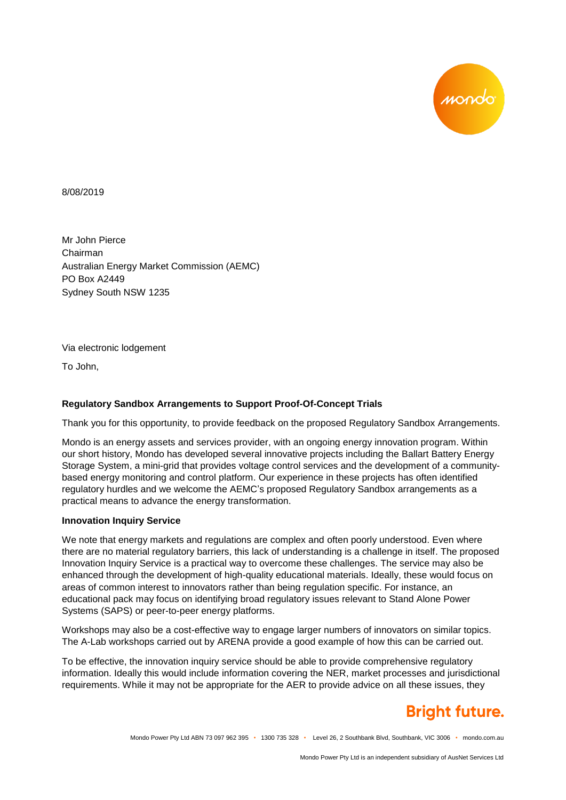

8/08/2019

Mr John Pierce Chairman Australian Energy Market Commission (AEMC) PO Box A2449 Sydney South NSW 1235

Via electronic lodgement

To John,

# **Regulatory Sandbox Arrangements to Support Proof-Of-Concept Trials**

Thank you for this opportunity, to provide feedback on the proposed Regulatory Sandbox Arrangements.

Mondo is an energy assets and services provider, with an ongoing energy innovation program. Within our short history, Mondo has developed several innovative projects including the Ballart Battery Energy Storage System, a mini-grid that provides voltage control services and the development of a communitybased energy monitoring and control platform. Our experience in these projects has often identified regulatory hurdles and we welcome the AEMC's proposed Regulatory Sandbox arrangements as a practical means to advance the energy transformation.

# **Innovation Inquiry Service**

We note that energy markets and regulations are complex and often poorly understood. Even where there are no material regulatory barriers, this lack of understanding is a challenge in itself. The proposed Innovation Inquiry Service is a practical way to overcome these challenges. The service may also be enhanced through the development of high-quality educational materials. Ideally, these would focus on areas of common interest to innovators rather than being regulation specific. For instance, an educational pack may focus on identifying broad regulatory issues relevant to Stand Alone Power Systems (SAPS) or peer-to-peer energy platforms.

Workshops may also be a cost-effective way to engage larger numbers of innovators on similar topics. The A-Lab workshops carried out by ARENA provide a good example of how this can be carried out.

To be effective, the innovation inquiry service should be able to provide comprehensive regulatory information. Ideally this would include information covering the NER, market processes and jurisdictional requirements. While it may not be appropriate for the AER to provide advice on all these issues, they

# **Bright future.**

Mondo Power Pty Ltd ABN 73 097 962 395 • 1300 735 328 • Level 26, 2 Southbank Blvd, Southbank, VIC 3006 • mondo.com.au